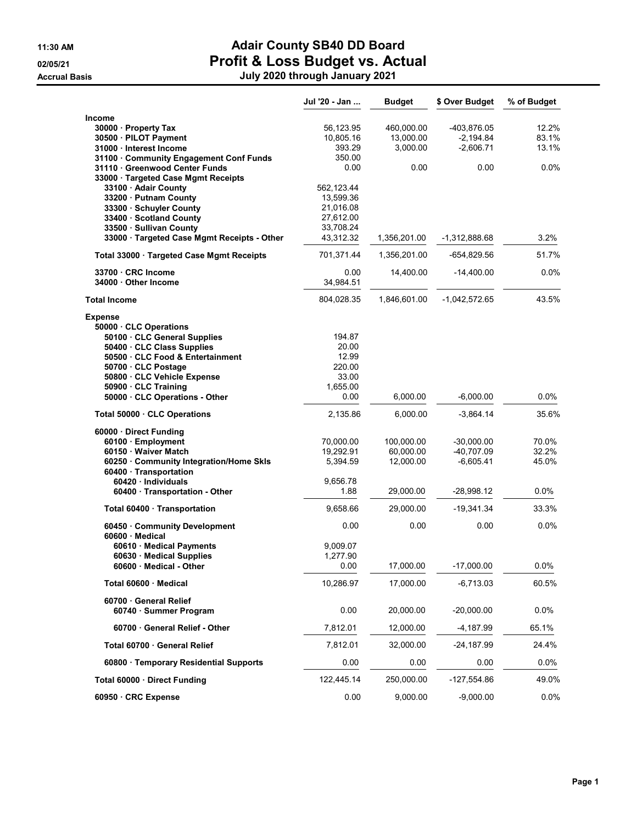### 11:30 AM **Adair County SB40 DD Board** 02/05/21 **Profit & Loss Budget vs. Actual**

Accrual Basis July 2020 through January 2021

|                                                                | Jul '20 - Jan          | <b>Budget</b> | \$ Over Budget  | % of Budget |
|----------------------------------------------------------------|------------------------|---------------|-----------------|-------------|
| Income                                                         |                        |               |                 |             |
| 30000 Property Tax                                             | 56,123.95              | 460,000.00    | -403,876.05     | 12.2%       |
| 30500 · PILOT Payment                                          | 10,805.16              | 13,000.00     | $-2,194.84$     | 83.1%       |
| 31000 Interest Income                                          | 393.29                 | 3,000.00      | $-2,606.71$     | 13.1%       |
| 31100 Community Engagement Conf Funds                          | 350.00                 |               |                 |             |
| 31110 · Greenwood Center Funds                                 | 0.00                   | 0.00          | 0.00            | $0.0\%$     |
| 33000 · Targeted Case Mgmt Receipts                            |                        |               |                 |             |
| 33100 - Adair County                                           | 562, 123.44            |               |                 |             |
| 33200 · Putnam County                                          | 13,599.36              |               |                 |             |
| 33300 · Schuyler County<br>33400 · Scotland County             | 21,016.08<br>27,612.00 |               |                 |             |
| 33500 · Sullivan County                                        | 33,708.24              |               |                 |             |
| 33000 · Targeted Case Mgmt Receipts - Other                    | 43,312.32              | 1,356,201.00  | -1,312,888.68   | 3.2%        |
|                                                                |                        |               |                 |             |
| Total 33000 · Targeted Case Mgmt Receipts                      | 701,371.44             | 1,356,201.00  | -654,829.56     | 51.7%       |
| 33700 CRC Income                                               | 0.00                   | 14,400.00     | $-14,400.00$    | 0.0%        |
| 34000 Other Income                                             | 34,984.51              |               |                 |             |
| <b>Total Income</b>                                            | 804,028.35             | 1,846,601.00  | $-1,042,572.65$ | 43.5%       |
| <b>Expense</b>                                                 |                        |               |                 |             |
| 50000 CLC Operations                                           |                        |               |                 |             |
| 50100 · CLC General Supplies                                   | 194.87                 |               |                 |             |
| 50400 · CLC Class Supplies<br>50500 · CLC Food & Entertainment | 20.00<br>12.99         |               |                 |             |
| 50700 · CLC Postage                                            | 220.00                 |               |                 |             |
| 50800 · CLC Vehicle Expense                                    | 33.00                  |               |                 |             |
| 50900 · CLC Training                                           | 1,655.00               |               |                 |             |
| 50000 · CLC Operations - Other                                 | 0.00                   | 6,000.00      | $-6,000.00$     | 0.0%        |
| Total 50000 CLC Operations                                     | 2,135.86               | 6,000.00      | $-3,864.14$     | 35.6%       |
| 60000 · Direct Funding                                         |                        |               |                 |             |
| 60100 · Employment                                             | 70,000.00              | 100,000.00    | $-30,000.00$    | 70.0%       |
| 60150 · Waiver Match                                           | 19,292.91              | 60,000.00     | -40,707.09      | 32.2%       |
| 60250 Community Integration/Home Skls                          | 5,394.59               | 12,000.00     | $-6,605.41$     | 45.0%       |
| 60400 · Transportation                                         |                        |               |                 |             |
| 60420 · Individuals                                            | 9,656.78               |               |                 |             |
| 60400 · Transportation - Other                                 | 1.88                   | 29,000.00     | -28,998.12      | 0.0%        |
| Total 60400 · Transportation                                   | 9,658.66               | 29,000.00     | $-19,341.34$    | 33.3%       |
| 60450 Community Development<br>$60600 \cdot$ Medical           | 0.00                   | 0.00          | 0.00            | 0.0%        |
| 60610 · Medical Payments                                       | 9,009.07               |               |                 |             |
| 60630 · Medical Supplies                                       | 1,277.90               |               |                 |             |
| 60600 · Medical - Other                                        | 0.00                   | 17,000.00     | $-17,000.00$    | 0.0%        |
| Total 60600 Medical                                            | 10,286.97              | 17,000.00     | -6,713.03       | 60.5%       |
| 60700 General Relief                                           |                        |               |                 |             |
| 60740 · Summer Program                                         | 0.00                   | 20,000.00     | $-20,000.00$    | 0.0%        |
| 60700 General Relief - Other                                   | 7,812.01               | 12,000.00     | $-4,187.99$     | 65.1%       |
| Total 60700 General Relief                                     | 7,812.01               | 32,000.00     | -24,187.99      | 24.4%       |
| 60800 · Temporary Residential Supports                         | 0.00                   | 0.00          | 0.00            | 0.0%        |
| Total 60000 Direct Funding                                     | 122,445.14             | 250,000.00    | -127,554.86     | 49.0%       |
| 60950 · CRC Expense                                            | 0.00                   | 9,000.00      | $-9,000.00$     | 0.0%        |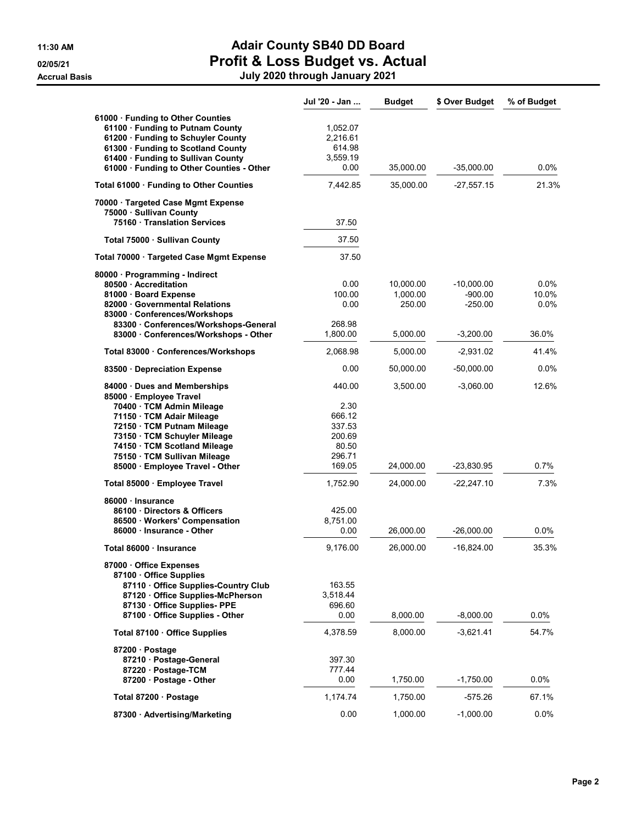## 11:30 AM **Adair County SB40 DD Board** 02/05/21 **Profit & Loss Budget vs. Actual**

Accrual Basis July 2020 through January 2021

|                                                                                                                                                                                                                                                                                    | Jul '20 - Jan                                                             | <b>Budget</b>                               | \$ Over Budget                                        | % of Budget                    |
|------------------------------------------------------------------------------------------------------------------------------------------------------------------------------------------------------------------------------------------------------------------------------------|---------------------------------------------------------------------------|---------------------------------------------|-------------------------------------------------------|--------------------------------|
| 61000 · Funding to Other Counties<br>61100 · Funding to Putnam County<br>61200 · Funding to Schuyler County<br>61300 · Funding to Scotland County<br>61400 · Funding to Sullivan County<br>61000 · Funding to Other Counties - Other                                               | 1,052.07<br>2,216.61<br>614.98<br>3,559.19<br>0.00                        | 35,000.00                                   | $-35,000.00$                                          | 0.0%                           |
| Total 61000 · Funding to Other Counties                                                                                                                                                                                                                                            | 7,442.85                                                                  | 35,000.00                                   | $-27,557.15$                                          | 21.3%                          |
| 70000 · Targeted Case Mgmt Expense<br>75000 · Sullivan County<br>75160 Translation Services                                                                                                                                                                                        | 37.50                                                                     |                                             |                                                       |                                |
| Total 75000 · Sullivan County                                                                                                                                                                                                                                                      | 37.50                                                                     |                                             |                                                       |                                |
| Total 70000 · Targeted Case Mgmt Expense                                                                                                                                                                                                                                           | 37.50                                                                     |                                             |                                                       |                                |
| 80000 · Programming - Indirect<br>80500 Accreditation<br>81000 · Board Expense<br>82000 · Governmental Relations<br>83000 Conferences/Workshops<br>83300 · Conferences/Workshops-General<br>83000 · Conferences/Workshops - Other                                                  | 0.00<br>100.00<br>0.00<br>268.98<br>1,800.00                              | 10,000.00<br>1,000.00<br>250.00<br>5,000.00 | $-10,000.00$<br>$-900.00$<br>$-250.00$<br>$-3,200.00$ | 0.0%<br>10.0%<br>0.0%<br>36.0% |
| Total 83000 Conferences/Workshops                                                                                                                                                                                                                                                  | 2,068.98                                                                  | 5,000.00                                    | $-2,931.02$                                           | 41.4%                          |
| 83500 Depreciation Expense                                                                                                                                                                                                                                                         | 0.00                                                                      | 50,000.00                                   | $-50,000.00$                                          | 0.0%                           |
| 84000 · Dues and Memberships<br>85000 · Employee Travel<br>70400 · TCM Admin Mileage<br>71150 · TCM Adair Mileage<br>72150 · TCM Putnam Mileage<br>73150 · TCM Schuyler Mileage<br>74150 · TCM Scotland Mileage<br>75150 · TCM Sullivan Mileage<br>85000 · Employee Travel - Other | 440.00<br>2.30<br>666.12<br>337.53<br>200.69<br>80.50<br>296.71<br>169.05 | 3,500.00<br>24,000.00                       | $-3,060.00$<br>-23,830.95                             | 12.6%<br>0.7%                  |
| Total 85000 · Employee Travel                                                                                                                                                                                                                                                      | 1,752.90                                                                  | 24,000.00                                   | $-22,247.10$                                          | 7.3%                           |
| 86000 · Insurance<br>86100 Directors & Officers<br>86500 · Workers' Compensation<br>86000 · Insurance - Other                                                                                                                                                                      | 425.00<br>8,751.00<br>0.00                                                | 26,000.00                                   | $-26,000.00$                                          | 0.0%                           |
| Total 86000 · Insurance                                                                                                                                                                                                                                                            | 9,176.00                                                                  | 26,000.00                                   | $-16,824.00$                                          | 35.3%                          |
| 87000 · Office Expenses<br>87100 Office Supplies<br>87110 Office Supplies-Country Club<br>87120 Office Supplies-McPherson<br>87130 Office Supplies- PPE<br>87100 · Office Supplies - Other                                                                                         | 163.55<br>3,518.44<br>696.60<br>0.00                                      | 8,000.00                                    | $-8,000.00$                                           | 0.0%                           |
|                                                                                                                                                                                                                                                                                    |                                                                           |                                             |                                                       |                                |
| Total 87100 Office Supplies<br>87200 · Postage<br>87210 · Postage-General<br>87220 · Postage-TCM<br>87200 Postage - Other                                                                                                                                                          | 4,378.59<br>397.30<br>777.44<br>0.00                                      | 8,000.00<br>1,750.00                        | $-3,621.41$<br>$-1,750.00$                            | 54.7%<br>$0.0\%$               |
| Total 87200 · Postage                                                                                                                                                                                                                                                              | 1,174.74                                                                  | 1,750.00                                    | -575.26                                               | 67.1%                          |
| 87300 · Advertising/Marketing                                                                                                                                                                                                                                                      | 0.00                                                                      | 1,000.00                                    | $-1,000.00$                                           | 0.0%                           |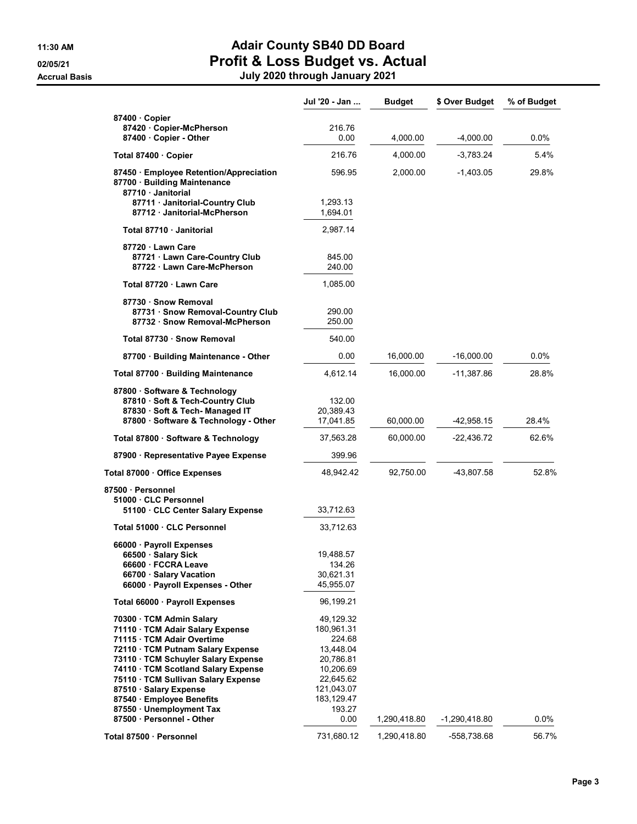### 11:30 AM **Adair County SB40 DD Board** 02/05/21 **Profit & Loss Budget vs. Actual**

Accrual Basis July 2020 through January 2021

|                                                                                                                                               | Jul '20 - Jan                    | <b>Budget</b> | \$ Over Budget  | % of Budget |
|-----------------------------------------------------------------------------------------------------------------------------------------------|----------------------------------|---------------|-----------------|-------------|
| 87400 Copier                                                                                                                                  |                                  |               |                 |             |
| 87420 · Copier-McPherson<br>87400 · Copier - Other                                                                                            | 216.76<br>0.00                   | 4,000.00      | $-4,000.00$     | 0.0%        |
| Total 87400 Copier                                                                                                                            | 216.76                           | 4,000.00      | $-3,783.24$     | 5.4%        |
|                                                                                                                                               |                                  |               |                 |             |
| 87450 · Employee Retention/Appreciation<br>87700 · Building Maintenance<br>87710 Janitorial                                                   | 596.95                           | 2,000.00      | $-1,403.05$     | 29.8%       |
| 87711 Janitorial-Country Club<br>87712 Janitorial-McPherson                                                                                   | 1,293.13<br>1.694.01             |               |                 |             |
| Total 87710 Janitorial                                                                                                                        | 2,987.14                         |               |                 |             |
| 87720 Lawn Care<br>87721 Lawn Care-Country Club<br>87722 Lawn Care-McPherson                                                                  | 845.00<br>240.00                 |               |                 |             |
| Total 87720 Lawn Care                                                                                                                         | 1,085.00                         |               |                 |             |
| 87730 · Snow Removal<br>87731 Snow Removal-Country Club<br>87732 Snow Removal-McPherson                                                       | 290.00<br>250.00                 |               |                 |             |
| Total 87730 · Snow Removal                                                                                                                    | 540.00                           |               |                 |             |
| 87700 · Building Maintenance - Other                                                                                                          | 0.00                             | 16,000.00     | $-16,000.00$    | $0.0\%$     |
| Total 87700 · Building Maintenance                                                                                                            | 4,612.14                         | 16,000.00     | -11,387.86      | 28.8%       |
| 87800 · Software & Technology<br>87810 · Soft & Tech-Country Club<br>87830 · Soft & Tech- Managed IT<br>87800 · Software & Technology - Other | 132.00<br>20,389.43<br>17,041.85 | 60,000.00     | -42,958.15      | 28.4%       |
| Total 87800 · Software & Technology                                                                                                           | 37,563.28                        | 60,000.00     | -22,436.72      | 62.6%       |
| 87900 · Representative Payee Expense                                                                                                          | 399.96                           |               |                 |             |
| Total 87000 · Office Expenses                                                                                                                 | 48,942.42                        | 92,750.00     | -43,807.58      | 52.8%       |
| 87500 · Personnel                                                                                                                             |                                  |               |                 |             |
| 51000 CLC Personnel<br>51100 CLC Center Salary Expense                                                                                        | 33,712.63                        |               |                 |             |
| Total 51000 · CLC Personnel                                                                                                                   | 33,712.63                        |               |                 |             |
| 66000 · Payroll Expenses                                                                                                                      |                                  |               |                 |             |
| 66500 · Salary Sick                                                                                                                           | 19,488.57                        |               |                 |             |
| 66600 · FCCRA Leave<br>66700 · Salary Vacation                                                                                                | 134.26<br>30,621.31              |               |                 |             |
| 66000 · Payroll Expenses - Other                                                                                                              | 45,955.07                        |               |                 |             |
| Total 66000 · Payroll Expenses                                                                                                                | 96,199.21                        |               |                 |             |
| 70300 · TCM Admin Salary                                                                                                                      | 49,129.32                        |               |                 |             |
| 71110 · TCM Adair Salary Expense                                                                                                              | 180,961.31                       |               |                 |             |
| 71115 · TCM Adair Overtime                                                                                                                    | 224.68                           |               |                 |             |
| 72110 · TCM Putnam Salary Expense<br>73110 · TCM Schuyler Salary Expense                                                                      | 13,448.04<br>20,786.81           |               |                 |             |
| 74110 · TCM Scotland Salary Expense                                                                                                           | 10,206.69                        |               |                 |             |
| 75110 · TCM Sullivan Salary Expense                                                                                                           | 22,645.62                        |               |                 |             |
| 87510 · Salary Expense                                                                                                                        | 121,043.07                       |               |                 |             |
| 87540 · Employee Benefits                                                                                                                     | 183,129.47                       |               |                 |             |
| 87550 · Unemployment Tax                                                                                                                      | 193.27                           |               |                 |             |
| 87500 · Personnel - Other                                                                                                                     | 0.00                             | 1,290,418.80  | $-1,290,418.80$ | $0.0\%$     |
| Total 87500 · Personnel                                                                                                                       | 731,680.12                       | 1,290,418.80  | -558,738.68     | 56.7%       |